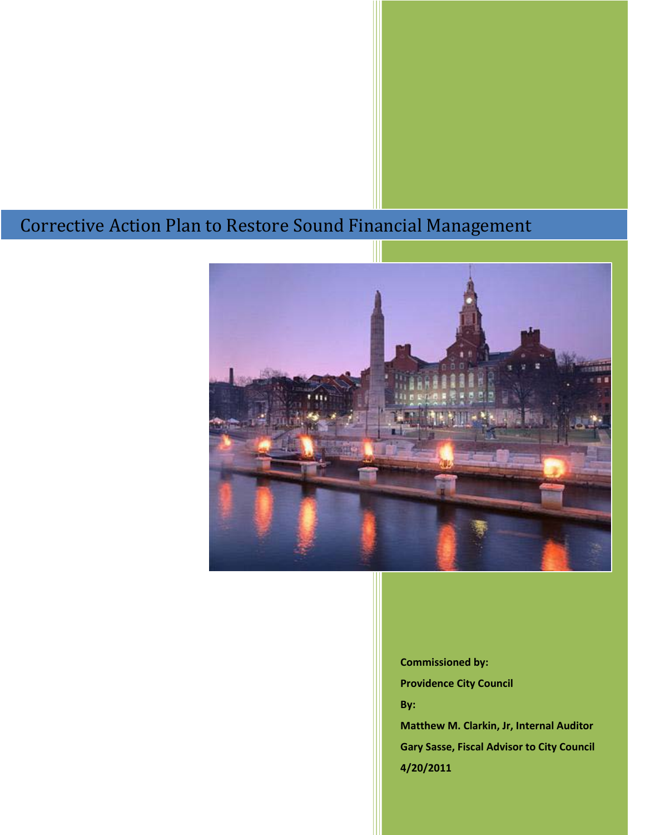## Corrective Action Plan to Restore Sound Financial Management



**Commissioned by:** 

**Providence City Council**

**By:** 

**Matthew M. Clarkin, Jr, Internal Auditor Gary Sasse, Fiscal Advisor to City Council 4/20/2011**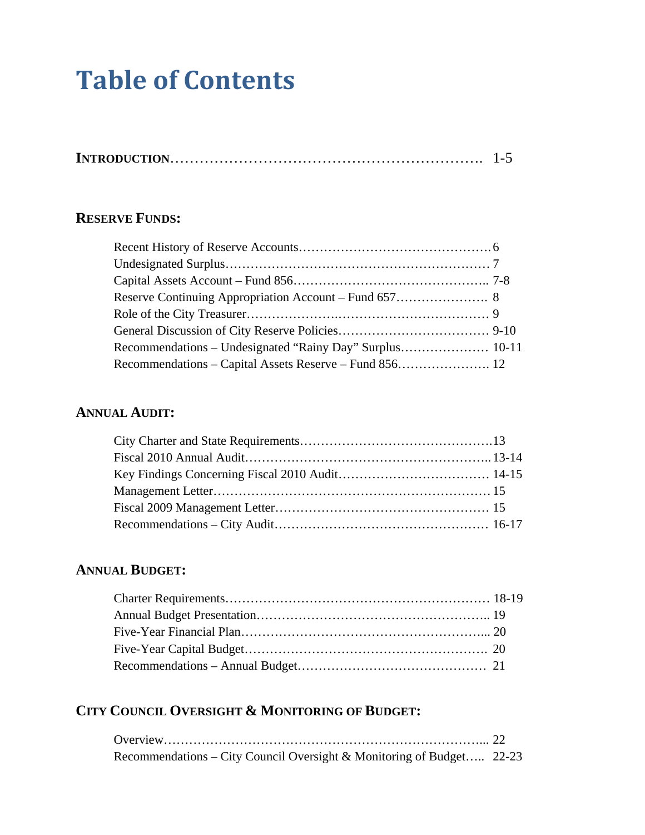# **Table of Contents**

|--|

## **RESERVE FUNDS:**

## **ANNUAL AUDIT:**

## **ANNUAL BUDGET:**

## **CITY COUNCIL OVERSIGHT & MONITORING OF BUDGET:**

| Recommendations – City Council Oversight & Monitoring of Budget 22-23 |  |
|-----------------------------------------------------------------------|--|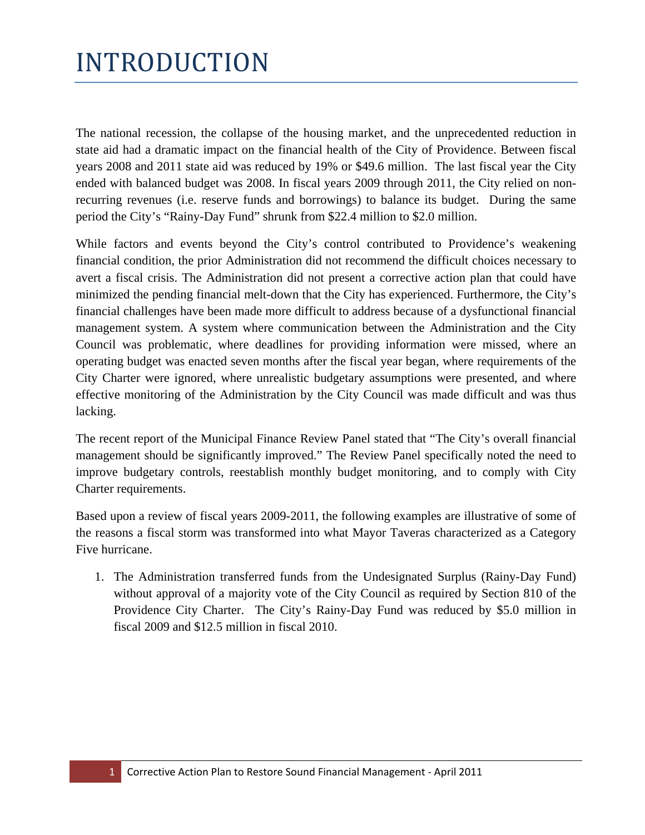# INTRODUCTION

The national recession, the collapse of the housing market, and the unprecedented reduction in state aid had a dramatic impact on the financial health of the City of Providence. Between fiscal years 2008 and 2011 state aid was reduced by 19% or \$49.6 million. The last fiscal year the City ended with balanced budget was 2008. In fiscal years 2009 through 2011, the City relied on nonrecurring revenues (i.e. reserve funds and borrowings) to balance its budget. During the same period the City's "Rainy-Day Fund" shrunk from \$22.4 million to \$2.0 million.

While factors and events beyond the City's control contributed to Providence's weakening financial condition, the prior Administration did not recommend the difficult choices necessary to avert a fiscal crisis. The Administration did not present a corrective action plan that could have minimized the pending financial melt-down that the City has experienced. Furthermore, the City's financial challenges have been made more difficult to address because of a dysfunctional financial management system. A system where communication between the Administration and the City Council was problematic, where deadlines for providing information were missed, where an operating budget was enacted seven months after the fiscal year began, where requirements of the City Charter were ignored, where unrealistic budgetary assumptions were presented, and where effective monitoring of the Administration by the City Council was made difficult and was thus lacking.

The recent report of the Municipal Finance Review Panel stated that "The City's overall financial management should be significantly improved." The Review Panel specifically noted the need to improve budgetary controls, reestablish monthly budget monitoring, and to comply with City Charter requirements.

Based upon a review of fiscal years 2009-2011, the following examples are illustrative of some of the reasons a fiscal storm was transformed into what Mayor Taveras characterized as a Category Five hurricane.

1. The Administration transferred funds from the Undesignated Surplus (Rainy-Day Fund) without approval of a majority vote of the City Council as required by Section 810 of the Providence City Charter. The City's Rainy-Day Fund was reduced by \$5.0 million in fiscal 2009 and \$12.5 million in fiscal 2010.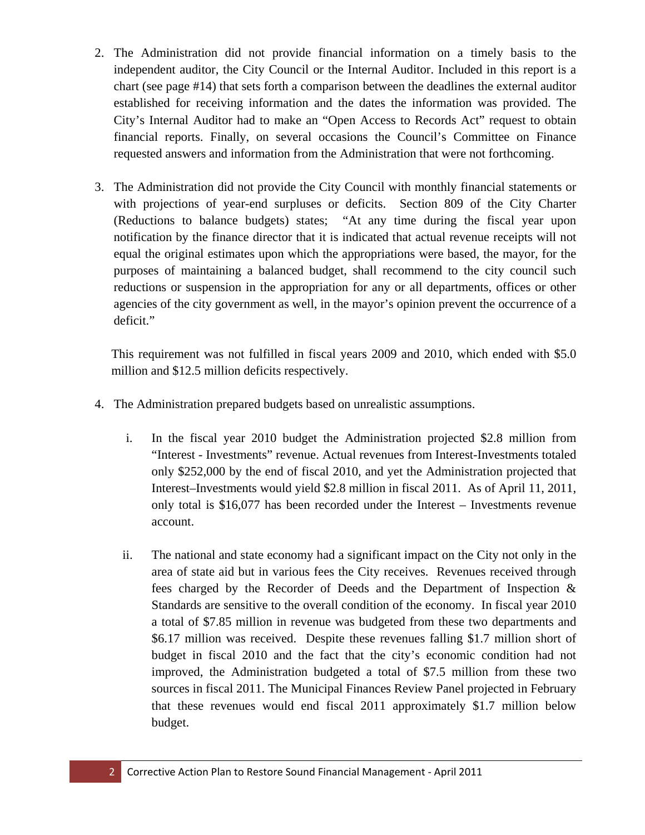- 2. The Administration did not provide financial information on a timely basis to the independent auditor, the City Council or the Internal Auditor. Included in this report is a chart (see page #14) that sets forth a comparison between the deadlines the external auditor established for receiving information and the dates the information was provided. The City's Internal Auditor had to make an "Open Access to Records Act" request to obtain financial reports. Finally, on several occasions the Council's Committee on Finance requested answers and information from the Administration that were not forthcoming.
- 3. The Administration did not provide the City Council with monthly financial statements or with projections of year-end surpluses or deficits. Section 809 of the City Charter (Reductions to balance budgets) states; "At any time during the fiscal year upon notification by the finance director that it is indicated that actual revenue receipts will not equal the original estimates upon which the appropriations were based, the mayor, for the purposes of maintaining a balanced budget, shall recommend to the city council such reductions or suspension in the appropriation for any or all departments, offices or other agencies of the city government as well, in the mayor's opinion prevent the occurrence of a deficit."

This requirement was not fulfilled in fiscal years 2009 and 2010, which ended with \$5.0 million and \$12.5 million deficits respectively.

- 4. The Administration prepared budgets based on unrealistic assumptions.
	- i. In the fiscal year 2010 budget the Administration projected \$2.8 million from "Interest - Investments" revenue. Actual revenues from Interest-Investments totaled only \$252,000 by the end of fiscal 2010, and yet the Administration projected that Interest–Investments would yield \$2.8 million in fiscal 2011. As of April 11, 2011, only total is \$16,077 has been recorded under the Interest – Investments revenue account.
	- ii. The national and state economy had a significant impact on the City not only in the area of state aid but in various fees the City receives. Revenues received through fees charged by the Recorder of Deeds and the Department of Inspection & Standards are sensitive to the overall condition of the economy. In fiscal year 2010 a total of \$7.85 million in revenue was budgeted from these two departments and \$6.17 million was received. Despite these revenues falling \$1.7 million short of budget in fiscal 2010 and the fact that the city's economic condition had not improved, the Administration budgeted a total of \$7.5 million from these two sources in fiscal 2011. The Municipal Finances Review Panel projected in February that these revenues would end fiscal 2011 approximately \$1.7 million below budget.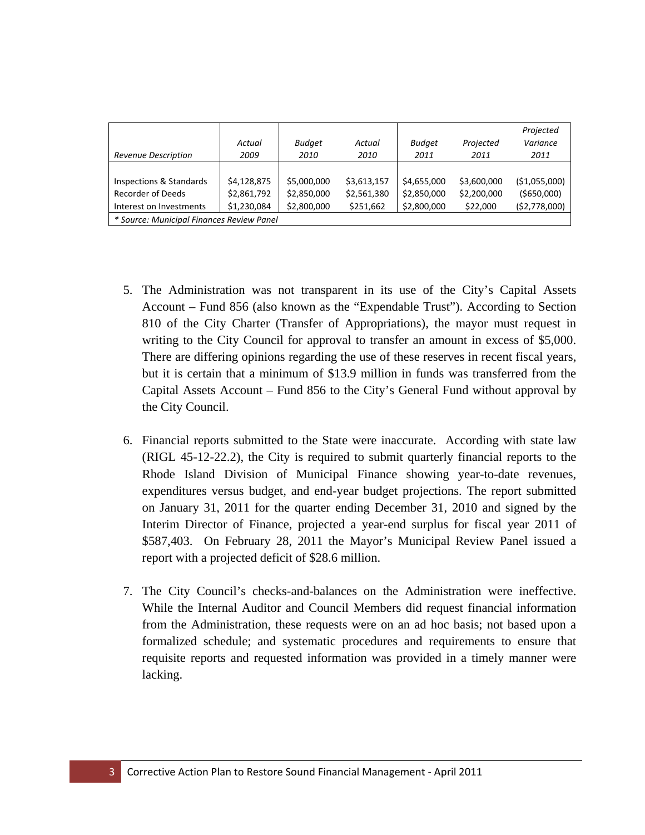| Revenue Description                       | Actual<br>2009 | <b>Budget</b><br>2010 | Actual<br>2010 | <b>Budget</b><br>2011 | Projected<br>2011 | Projected<br>Variance<br>2011 |
|-------------------------------------------|----------------|-----------------------|----------------|-----------------------|-------------------|-------------------------------|
|                                           |                |                       |                |                       |                   |                               |
| <b>Inspections &amp; Standards</b>        | \$4,128,875    | \$5,000,000           | \$3,613,157    | \$4,655,000           | \$3,600,000       | ( \$1,055,000)                |
| Recorder of Deeds                         | \$2,861,792    | \$2,850,000           | \$2,561,380    | \$2,850,000           | \$2,200,000       | ( \$650,000)                  |
| Interest on Investments                   | \$1,230,084    | \$2,800,000           | \$251,662      | \$2,800,000           | \$22,000          | (\$2,778,000)                 |
| * Source: Municipal Finances Review Panel |                |                       |                |                       |                   |                               |

- 5. The Administration was not transparent in its use of the City's Capital Assets Account – Fund 856 (also known as the "Expendable Trust"). According to Section 810 of the City Charter (Transfer of Appropriations), the mayor must request in writing to the City Council for approval to transfer an amount in excess of \$5,000. There are differing opinions regarding the use of these reserves in recent fiscal years, but it is certain that a minimum of \$13.9 million in funds was transferred from the Capital Assets Account – Fund 856 to the City's General Fund without approval by the City Council.
- 6. Financial reports submitted to the State were inaccurate. According with state law (RIGL 45-12-22.2), the City is required to submit quarterly financial reports to the Rhode Island Division of Municipal Finance showing year-to-date revenues, expenditures versus budget, and end-year budget projections. The report submitted on January 31, 2011 for the quarter ending December 31, 2010 and signed by the Interim Director of Finance, projected a year-end surplus for fiscal year 2011 of \$587,403. On February 28, 2011 the Mayor's Municipal Review Panel issued a report with a projected deficit of \$28.6 million.
- 7. The City Council's checks-and-balances on the Administration were ineffective. While the Internal Auditor and Council Members did request financial information from the Administration, these requests were on an ad hoc basis; not based upon a formalized schedule; and systematic procedures and requirements to ensure that requisite reports and requested information was provided in a timely manner were lacking.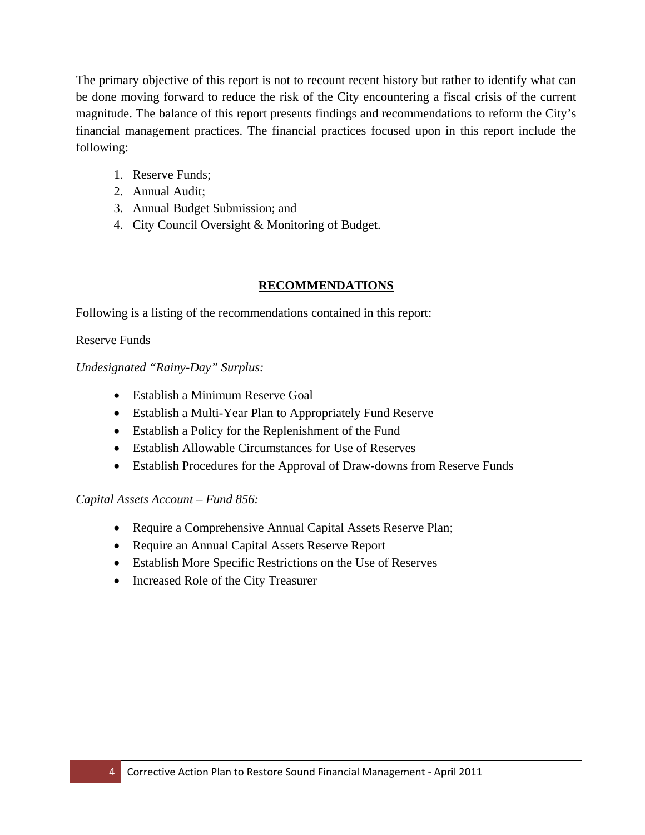The primary objective of this report is not to recount recent history but rather to identify what can be done moving forward to reduce the risk of the City encountering a fiscal crisis of the current magnitude. The balance of this report presents findings and recommendations to reform the City's financial management practices. The financial practices focused upon in this report include the following:

- 1. Reserve Funds;
- 2. Annual Audit;
- 3. Annual Budget Submission; and
- 4. City Council Oversight & Monitoring of Budget.

## **RECOMMENDATIONS**

Following is a listing of the recommendations contained in this report:

#### Reserve Funds

*Undesignated "Rainy-Day" Surplus:*

- Establish a Minimum Reserve Goal
- Establish a Multi-Year Plan to Appropriately Fund Reserve
- Establish a Policy for the Replenishment of the Fund
- Establish Allowable Circumstances for Use of Reserves
- Establish Procedures for the Approval of Draw-downs from Reserve Funds

#### *Capital Assets Account – Fund 856:*

- Require a Comprehensive Annual Capital Assets Reserve Plan;
- Require an Annual Capital Assets Reserve Report
- Establish More Specific Restrictions on the Use of Reserves
- Increased Role of the City Treasurer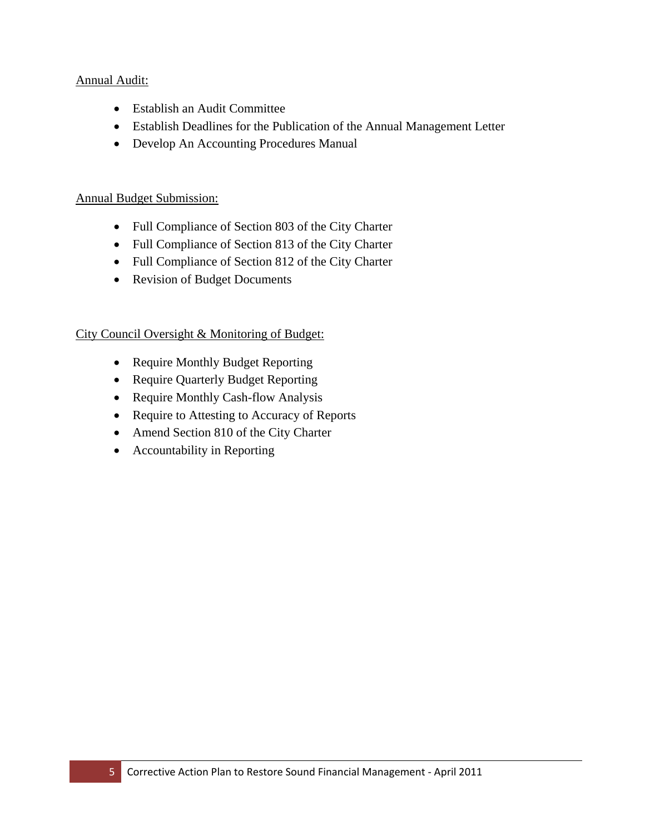### Annual Audit:

- Establish an Audit Committee
- Establish Deadlines for the Publication of the Annual Management Letter
- Develop An Accounting Procedures Manual

### Annual Budget Submission:

- Full Compliance of Section 803 of the City Charter
- Full Compliance of Section 813 of the City Charter
- Full Compliance of Section 812 of the City Charter
- Revision of Budget Documents

## City Council Oversight & Monitoring of Budget:

- Require Monthly Budget Reporting
- Require Quarterly Budget Reporting
- Require Monthly Cash-flow Analysis
- Require to Attesting to Accuracy of Reports
- Amend Section 810 of the City Charter
- Accountability in Reporting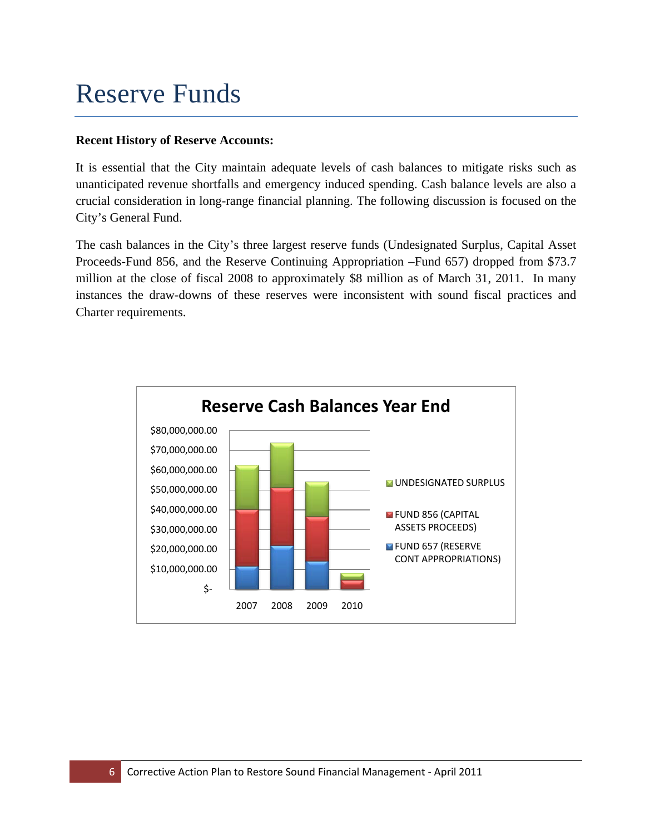# Reserve Funds

## **Recent History of Reserve Accounts:**

It is essential that the City maintain adequate levels of cash balances to mitigate risks such as unanticipated revenue shortfalls and emergency induced spending. Cash balance levels are also a crucial consideration in long-range financial planning. The following discussion is focused on the City's General Fund.

The cash balances in the City's three largest reserve funds (Undesignated Surplus, Capital Asset Proceeds-Fund 856, and the Reserve Continuing Appropriation –Fund 657) dropped from \$73.7 million at the close of fiscal 2008 to approximately \$8 million as of March 31, 2011. In many instances the draw-downs of these reserves were inconsistent with sound fiscal practices and Charter requirements.

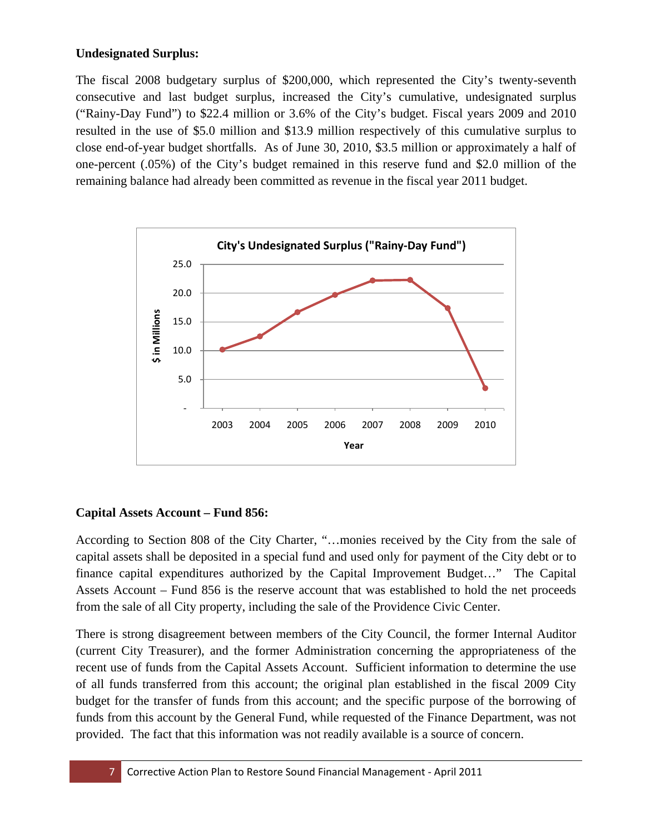## **Undesignated Surplus:**

The fiscal 2008 budgetary surplus of \$200,000, which represented the City's twenty-seventh consecutive and last budget surplus, increased the City's cumulative, undesignated surplus ("Rainy-Day Fund") to \$22.4 million or 3.6% of the City's budget. Fiscal years 2009 and 2010 resulted in the use of \$5.0 million and \$13.9 million respectively of this cumulative surplus to close end-of-year budget shortfalls. As of June 30, 2010, \$3.5 million or approximately a half of one-percent (.05%) of the City's budget remained in this reserve fund and \$2.0 million of the remaining balance had already been committed as revenue in the fiscal year 2011 budget.



## **Capital Assets Account – Fund 856:**

According to Section 808 of the City Charter, "…monies received by the City from the sale of capital assets shall be deposited in a special fund and used only for payment of the City debt or to finance capital expenditures authorized by the Capital Improvement Budget…" The Capital Assets Account – Fund 856 is the reserve account that was established to hold the net proceeds from the sale of all City property, including the sale of the Providence Civic Center.

There is strong disagreement between members of the City Council, the former Internal Auditor (current City Treasurer), and the former Administration concerning the appropriateness of the recent use of funds from the Capital Assets Account. Sufficient information to determine the use of all funds transferred from this account; the original plan established in the fiscal 2009 City budget for the transfer of funds from this account; and the specific purpose of the borrowing of funds from this account by the General Fund, while requested of the Finance Department, was not provided. The fact that this information was not readily available is a source of concern.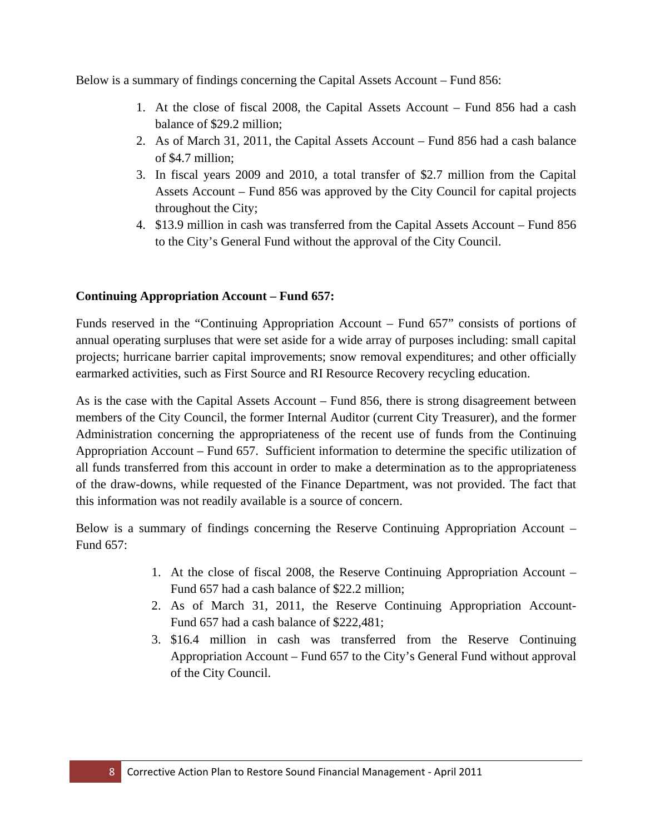Below is a summary of findings concerning the Capital Assets Account – Fund 856:

- 1. At the close of fiscal 2008, the Capital Assets Account Fund 856 had a cash balance of \$29.2 million;
- 2. As of March 31, 2011, the Capital Assets Account Fund 856 had a cash balance of \$4.7 million;
- 3. In fiscal years 2009 and 2010, a total transfer of \$2.7 million from the Capital Assets Account – Fund 856 was approved by the City Council for capital projects throughout the City;
- 4. \$13.9 million in cash was transferred from the Capital Assets Account Fund 856 to the City's General Fund without the approval of the City Council.

## **Continuing Appropriation Account – Fund 657:**

Funds reserved in the "Continuing Appropriation Account – Fund 657" consists of portions of annual operating surpluses that were set aside for a wide array of purposes including: small capital projects; hurricane barrier capital improvements; snow removal expenditures; and other officially earmarked activities, such as First Source and RI Resource Recovery recycling education.

As is the case with the Capital Assets Account – Fund 856, there is strong disagreement between members of the City Council, the former Internal Auditor (current City Treasurer), and the former Administration concerning the appropriateness of the recent use of funds from the Continuing Appropriation Account – Fund 657. Sufficient information to determine the specific utilization of all funds transferred from this account in order to make a determination as to the appropriateness of the draw-downs, while requested of the Finance Department, was not provided. The fact that this information was not readily available is a source of concern.

Below is a summary of findings concerning the Reserve Continuing Appropriation Account – Fund 657:

- 1. At the close of fiscal 2008, the Reserve Continuing Appropriation Account Fund 657 had a cash balance of \$22.2 million;
- 2. As of March 31, 2011, the Reserve Continuing Appropriation Account-Fund 657 had a cash balance of \$222,481;
- 3. \$16.4 million in cash was transferred from the Reserve Continuing Appropriation Account – Fund 657 to the City's General Fund without approval of the City Council.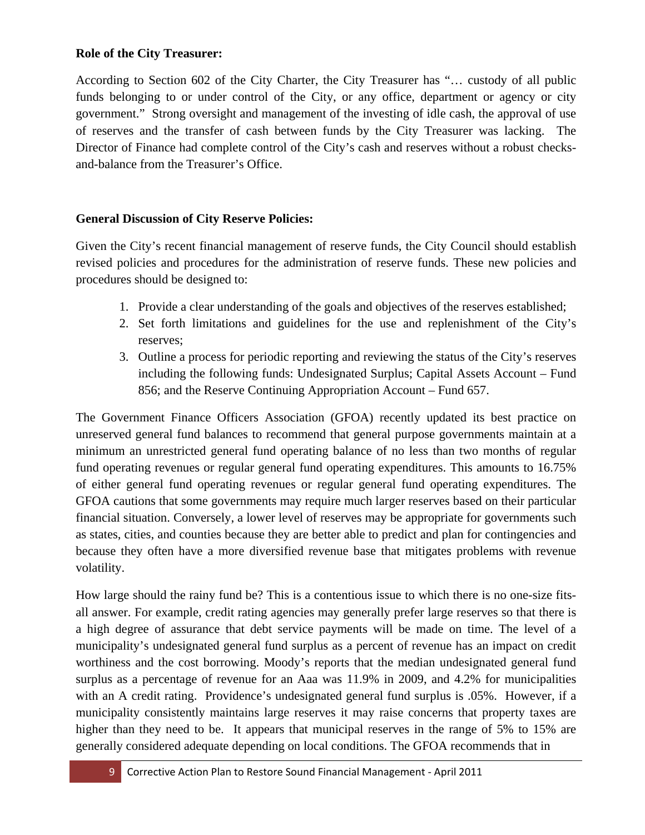## **Role of the City Treasurer:**

According to Section 602 of the City Charter, the City Treasurer has "… custody of all public funds belonging to or under control of the City, or any office, department or agency or city government." Strong oversight and management of the investing of idle cash, the approval of use of reserves and the transfer of cash between funds by the City Treasurer was lacking. The Director of Finance had complete control of the City's cash and reserves without a robust checksand-balance from the Treasurer's Office.

## **General Discussion of City Reserve Policies:**

Given the City's recent financial management of reserve funds, the City Council should establish revised policies and procedures for the administration of reserve funds. These new policies and procedures should be designed to:

- 1. Provide a clear understanding of the goals and objectives of the reserves established;
- 2. Set forth limitations and guidelines for the use and replenishment of the City's reserves;
- 3. Outline a process for periodic reporting and reviewing the status of the City's reserves including the following funds: Undesignated Surplus; Capital Assets Account – Fund 856; and the Reserve Continuing Appropriation Account – Fund 657.

The Government Finance Officers Association (GFOA) recently updated its best practice on unreserved general fund balances to recommend that general purpose governments maintain at a minimum an unrestricted general fund operating balance of no less than two months of regular fund operating revenues or regular general fund operating expenditures. This amounts to 16.75% of either general fund operating revenues or regular general fund operating expenditures. The GFOA cautions that some governments may require much larger reserves based on their particular financial situation. Conversely, a lower level of reserves may be appropriate for governments such as states, cities, and counties because they are better able to predict and plan for contingencies and because they often have a more diversified revenue base that mitigates problems with revenue volatility.

How large should the rainy fund be? This is a contentious issue to which there is no one-size fitsall answer. For example, credit rating agencies may generally prefer large reserves so that there is a high degree of assurance that debt service payments will be made on time. The level of a municipality's undesignated general fund surplus as a percent of revenue has an impact on credit worthiness and the cost borrowing. Moody's reports that the median undesignated general fund surplus as a percentage of revenue for an Aaa was 11.9% in 2009, and 4.2% for municipalities with an A credit rating. Providence's undesignated general fund surplus is .05%. However, if a municipality consistently maintains large reserves it may raise concerns that property taxes are higher than they need to be. It appears that municipal reserves in the range of 5% to 15% are generally considered adequate depending on local conditions. The GFOA recommends that in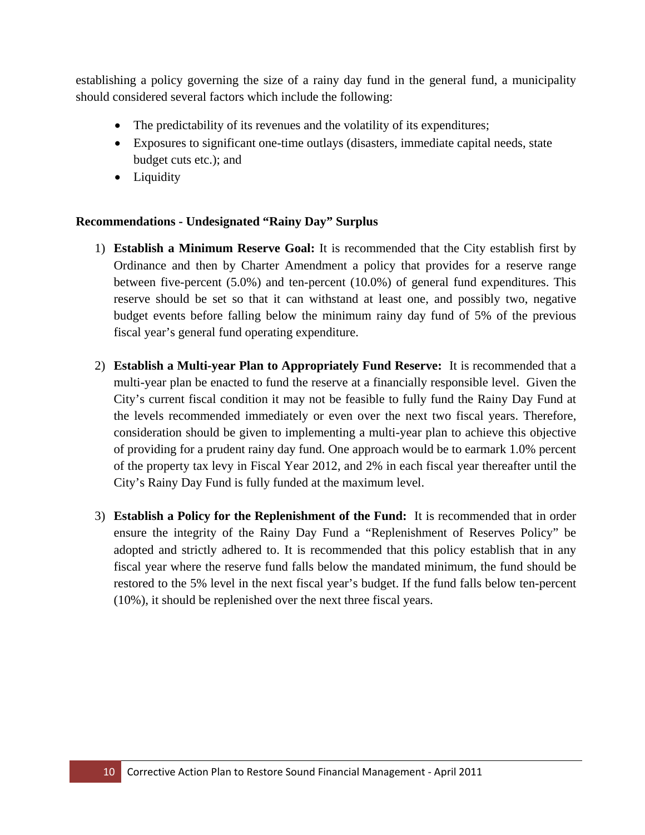establishing a policy governing the size of a rainy day fund in the general fund, a municipality should considered several factors which include the following:

- The predictability of its revenues and the volatility of its expenditures;
- Exposures to significant one-time outlays (disasters, immediate capital needs, state budget cuts etc.); and
- Liquidity

## **Recommendations - Undesignated "Rainy Day" Surplus**

- 1) **Establish a Minimum Reserve Goal:** It is recommended that the City establish first by Ordinance and then by Charter Amendment a policy that provides for a reserve range between five-percent (5.0%) and ten-percent (10.0%) of general fund expenditures. This reserve should be set so that it can withstand at least one, and possibly two, negative budget events before falling below the minimum rainy day fund of 5% of the previous fiscal year's general fund operating expenditure.
- 2) **Establish a Multi-year Plan to Appropriately Fund Reserve:** It is recommended that a multi-year plan be enacted to fund the reserve at a financially responsible level. Given the City's current fiscal condition it may not be feasible to fully fund the Rainy Day Fund at the levels recommended immediately or even over the next two fiscal years. Therefore, consideration should be given to implementing a multi-year plan to achieve this objective of providing for a prudent rainy day fund. One approach would be to earmark 1.0% percent of the property tax levy in Fiscal Year 2012, and 2% in each fiscal year thereafter until the City's Rainy Day Fund is fully funded at the maximum level.
- 3) **Establish a Policy for the Replenishment of the Fund:** It is recommended that in order ensure the integrity of the Rainy Day Fund a "Replenishment of Reserves Policy" be adopted and strictly adhered to. It is recommended that this policy establish that in any fiscal year where the reserve fund falls below the mandated minimum, the fund should be restored to the 5% level in the next fiscal year's budget. If the fund falls below ten-percent (10%), it should be replenished over the next three fiscal years.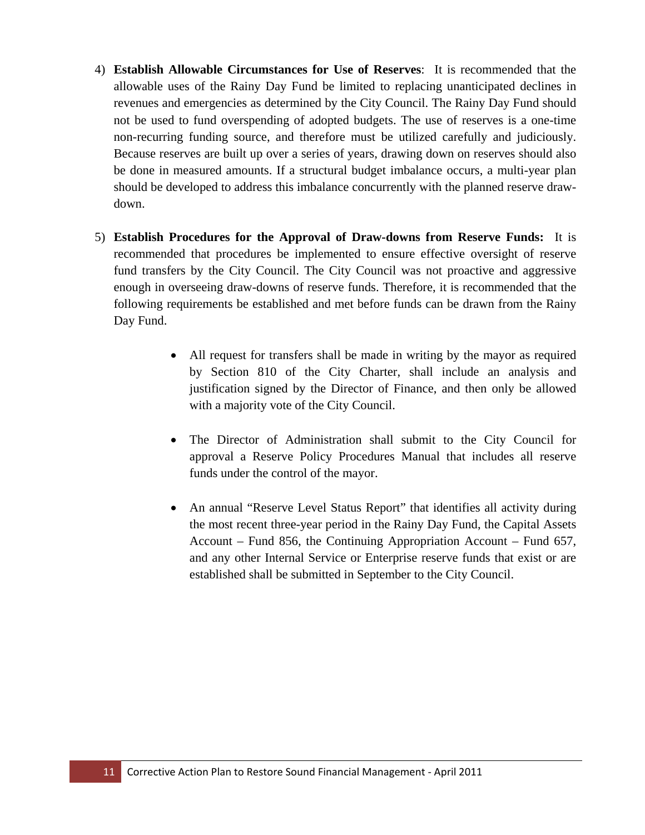- 4) **Establish Allowable Circumstances for Use of Reserves**: It is recommended that the allowable uses of the Rainy Day Fund be limited to replacing unanticipated declines in revenues and emergencies as determined by the City Council. The Rainy Day Fund should not be used to fund overspending of adopted budgets. The use of reserves is a one-time non-recurring funding source, and therefore must be utilized carefully and judiciously. Because reserves are built up over a series of years, drawing down on reserves should also be done in measured amounts. If a structural budget imbalance occurs, a multi-year plan should be developed to address this imbalance concurrently with the planned reserve drawdown.
- 5) **Establish Procedures for the Approval of Draw-downs from Reserve Funds:** It is recommended that procedures be implemented to ensure effective oversight of reserve fund transfers by the City Council. The City Council was not proactive and aggressive enough in overseeing draw-downs of reserve funds. Therefore, it is recommended that the following requirements be established and met before funds can be drawn from the Rainy Day Fund.
	- All request for transfers shall be made in writing by the mayor as required by Section 810 of the City Charter, shall include an analysis and justification signed by the Director of Finance, and then only be allowed with a majority vote of the City Council.
	- The Director of Administration shall submit to the City Council for approval a Reserve Policy Procedures Manual that includes all reserve funds under the control of the mayor.
	- An annual "Reserve Level Status Report" that identifies all activity during the most recent three-year period in the Rainy Day Fund, the Capital Assets Account – Fund 856, the Continuing Appropriation Account – Fund 657, and any other Internal Service or Enterprise reserve funds that exist or are established shall be submitted in September to the City Council.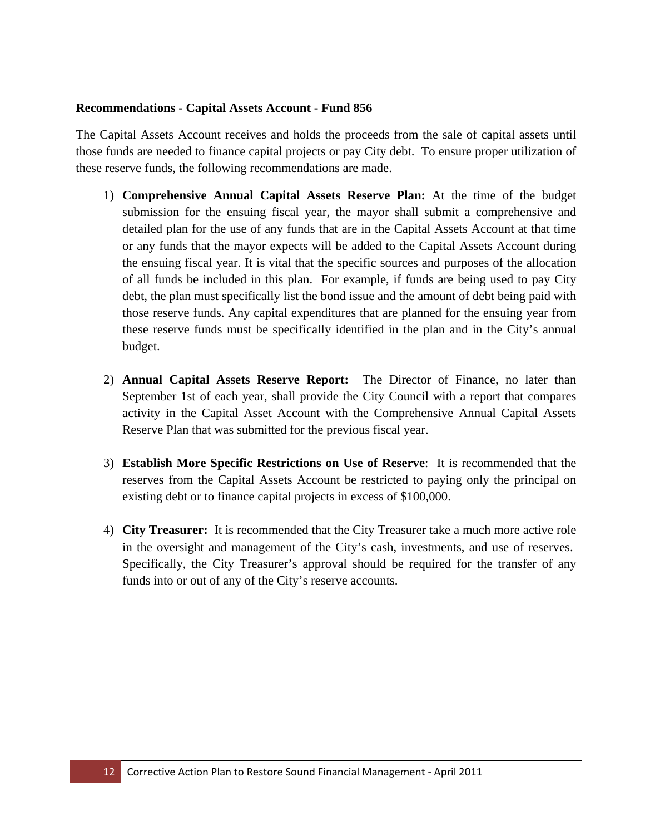#### **Recommendations - Capital Assets Account - Fund 856**

The Capital Assets Account receives and holds the proceeds from the sale of capital assets until those funds are needed to finance capital projects or pay City debt. To ensure proper utilization of these reserve funds, the following recommendations are made.

- 1) **Comprehensive Annual Capital Assets Reserve Plan:** At the time of the budget submission for the ensuing fiscal year, the mayor shall submit a comprehensive and detailed plan for the use of any funds that are in the Capital Assets Account at that time or any funds that the mayor expects will be added to the Capital Assets Account during the ensuing fiscal year. It is vital that the specific sources and purposes of the allocation of all funds be included in this plan. For example, if funds are being used to pay City debt, the plan must specifically list the bond issue and the amount of debt being paid with those reserve funds. Any capital expenditures that are planned for the ensuing year from these reserve funds must be specifically identified in the plan and in the City's annual budget.
- 2) **Annual Capital Assets Reserve Report:** The Director of Finance, no later than September 1st of each year, shall provide the City Council with a report that compares activity in the Capital Asset Account with the Comprehensive Annual Capital Assets Reserve Plan that was submitted for the previous fiscal year.
- 3) **Establish More Specific Restrictions on Use of Reserve**: It is recommended that the reserves from the Capital Assets Account be restricted to paying only the principal on existing debt or to finance capital projects in excess of \$100,000.
- 4) **City Treasurer:** It is recommended that the City Treasurer take a much more active role in the oversight and management of the City's cash, investments, and use of reserves. Specifically, the City Treasurer's approval should be required for the transfer of any funds into or out of any of the City's reserve accounts.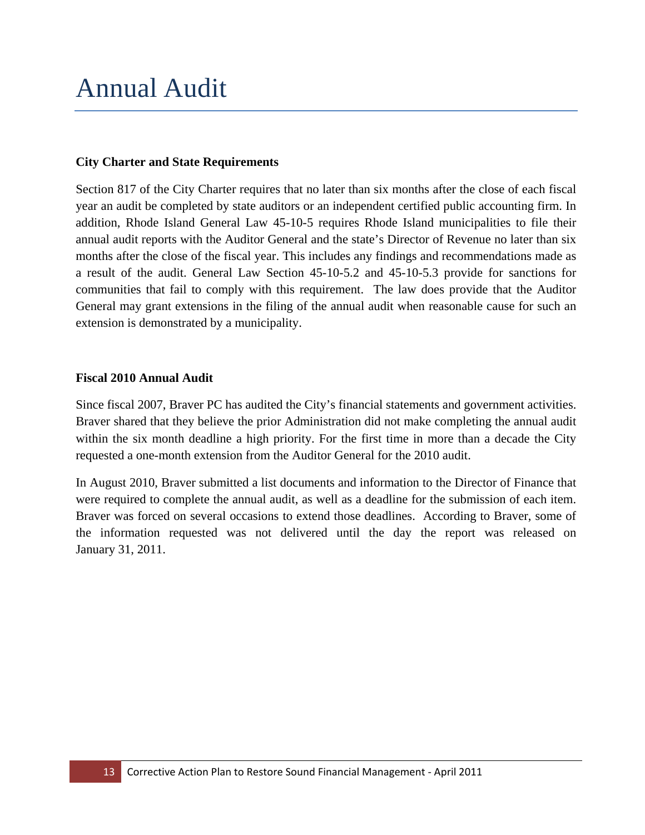# Annual Audit

#### **City Charter and State Requirements**

Section 817 of the City Charter requires that no later than six months after the close of each fiscal year an audit be completed by state auditors or an independent certified public accounting firm. In addition, Rhode Island General Law 45-10-5 requires Rhode Island municipalities to file their annual audit reports with the Auditor General and the state's Director of Revenue no later than six months after the close of the fiscal year. This includes any findings and recommendations made as a result of the audit. General Law Section [45-10-5.2](http://www.rilin.state.ri.us/statutes/title45/45-10/45-10-5.2.htm) and [45-10-5.3](http://www.rilin.state.ri.us/statutes/title45/45-10/45-10-5.3.htm) provide for sanctions for communities that fail to comply with this requirement. The law does provide that the Auditor General may grant extensions in the filing of the annual audit when reasonable cause for such an extension is demonstrated by a municipality.

#### **Fiscal 2010 Annual Audit**

Since fiscal 2007, Braver PC has audited the City's financial statements and government activities. Braver shared that they believe the prior Administration did not make completing the annual audit within the six month deadline a high priority. For the first time in more than a decade the City requested a one-month extension from the Auditor General for the 2010 audit.

In August 2010, Braver submitted a list documents and information to the Director of Finance that were required to complete the annual audit, as well as a deadline for the submission of each item. Braver was forced on several occasions to extend those deadlines. According to Braver, some of the information requested was not delivered until the day the report was released on January 31, 2011.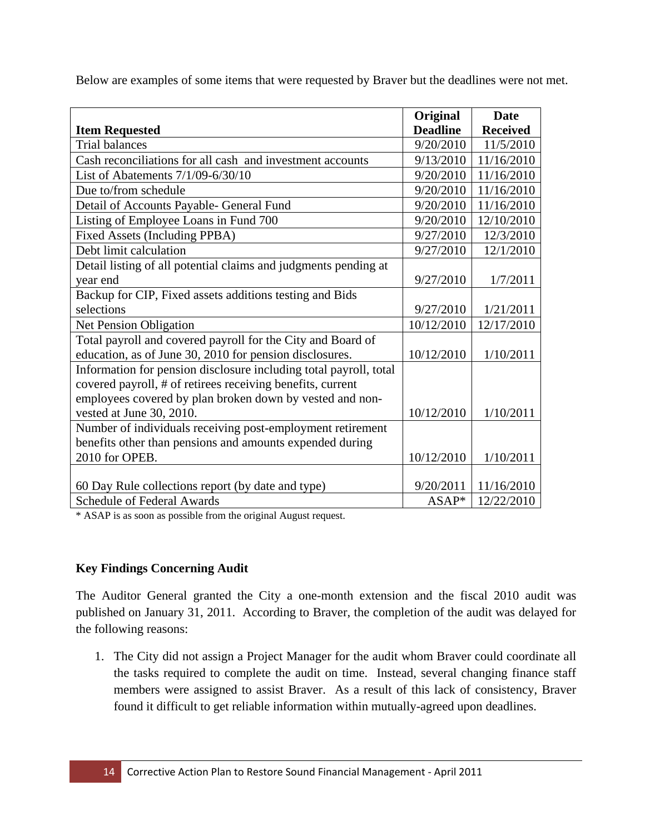Below are examples of some items that were requested by Braver but the deadlines were not met.

|                                                                   | Original        | <b>Date</b>     |
|-------------------------------------------------------------------|-----------------|-----------------|
| <b>Item Requested</b>                                             | <b>Deadline</b> | <b>Received</b> |
| <b>Trial balances</b>                                             | 9/20/2010       | 11/5/2010       |
| Cash reconciliations for all cash and investment accounts         | 9/13/2010       | 11/16/2010      |
| List of Abatements 7/1/09-6/30/10                                 | 9/20/2010       | 11/16/2010      |
| Due to/from schedule                                              | 9/20/2010       | 11/16/2010      |
| Detail of Accounts Payable- General Fund                          | 9/20/2010       | 11/16/2010      |
| Listing of Employee Loans in Fund 700                             | 9/20/2010       | 12/10/2010      |
| Fixed Assets (Including PPBA)                                     | 9/27/2010       | 12/3/2010       |
| Debt limit calculation                                            | 9/27/2010       | 12/1/2010       |
| Detail listing of all potential claims and judgments pending at   |                 |                 |
| year end                                                          | 9/27/2010       | 1/7/2011        |
| Backup for CIP, Fixed assets additions testing and Bids           |                 |                 |
| selections                                                        | 9/27/2010       | 1/21/2011       |
| Net Pension Obligation                                            | 10/12/2010      | 12/17/2010      |
| Total payroll and covered payroll for the City and Board of       |                 |                 |
| education, as of June 30, 2010 for pension disclosures.           | 10/12/2010      | 1/10/2011       |
| Information for pension disclosure including total payroll, total |                 |                 |
| covered payroll, # of retirees receiving benefits, current        |                 |                 |
| employees covered by plan broken down by vested and non-          |                 |                 |
| vested at June 30, 2010.                                          | 10/12/2010      | 1/10/2011       |
| Number of individuals receiving post-employment retirement        |                 |                 |
| benefits other than pensions and amounts expended during          |                 |                 |
| 2010 for OPEB.                                                    | 10/12/2010      | 1/10/2011       |
|                                                                   |                 |                 |
| 60 Day Rule collections report (by date and type)                 | 9/20/2011       | 11/16/2010      |
| <b>Schedule of Federal Awards</b>                                 | $ASAP*$         | 12/22/2010      |

\* ASAP is as soon as possible from the original August request.

## **Key Findings Concerning Audit**

The Auditor General granted the City a one-month extension and the fiscal 2010 audit was published on January 31, 2011. According to Braver, the completion of the audit was delayed for the following reasons:

1. The City did not assign a Project Manager for the audit whom Braver could coordinate all the tasks required to complete the audit on time. Instead, several changing finance staff members were assigned to assist Braver. As a result of this lack of consistency, Braver found it difficult to get reliable information within mutually-agreed upon deadlines.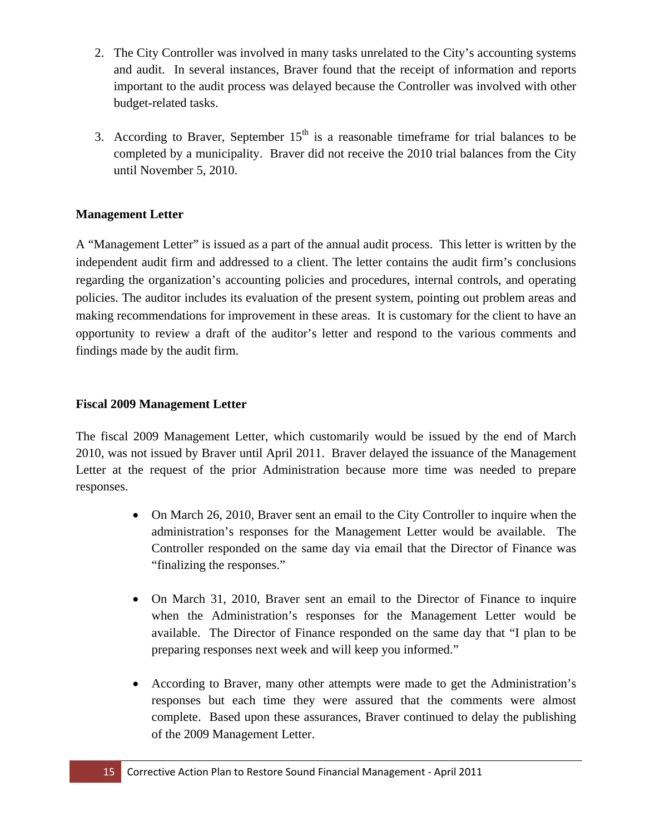- 2. The City Controller was involved in many tasks unrelated to the City's accounting systems and audit. In several instances, Braver found that the receipt of information and reports important to the audit process was delayed because the Controller was involved with other budget-related tasks.
- 3. According to Braver, September  $15<sup>th</sup>$  is a reasonable timeframe for trial balances to be completed by a municipality. Braver did not receive the 2010 trial balances from the City until November 5, 2010.

## **Management Letter**

A "Management Letter" is issued as a part of the annual audit process. This letter is written by the independent audit firm and addressed to a client. The letter contains the audit firm's conclusions regarding the organization's accounting policies and procedures, internal controls, and operating policies. The auditor includes its evaluation of the present system, pointing out problem areas and making recommendations for improvement in these areas. It is customary for the client to have an opportunity to review a draft of the auditor's letter and respond to the various comments and findings made by the audit firm.

## **Fiscal 2009 Management Letter**

The fiscal 2009 Management Letter, which customarily would be issued by the end of March 2010, was not issued by Braver until April 2011. Braver delayed the issuance of the Management Letter at the request of the prior Administration because more time was needed to prepare responses.

- On March 26, 2010, Braver sent an email to the City Controller to inquire when the administration's responses for the Management Letter would be available. The Controller responded on the same day via email that the Director of Finance was "finalizing the responses."
- On March 31, 2010, Braver sent an email to the Director of Finance to inquire when the Administration's responses for the Management Letter would be available. The Director of Finance responded on the same day that "I plan to be preparing responses next week and will keep you informed."
- According to Braver, many other attempts were made to get the Administration's responses but each time they were assured that the comments were almost complete. Based upon these assurances, Braver continued to delay the publishing of the 2009 Management Letter.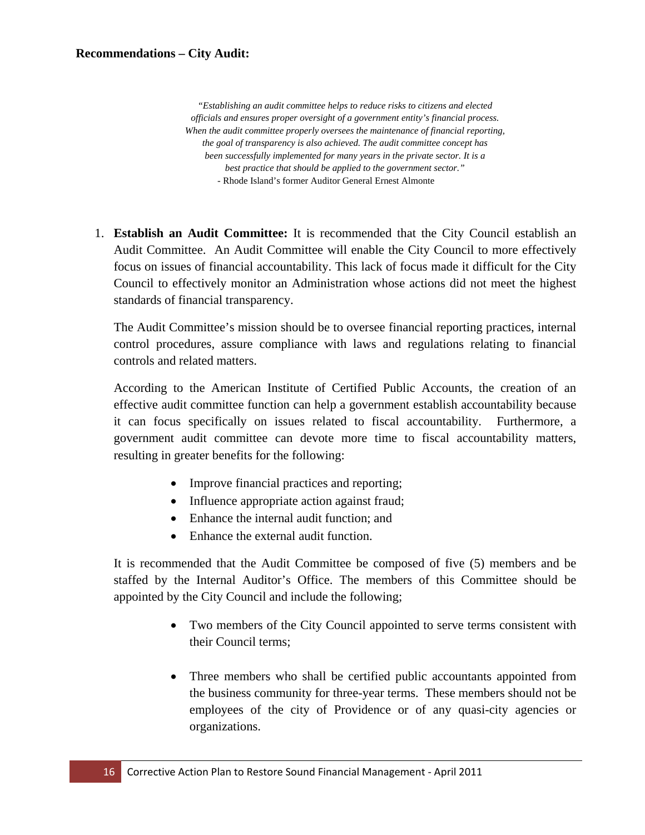*"Establishing an audit committee helps to reduce risks to citizens and elected officials and ensures proper oversight of a government entity's financial process. When the audit committee properly oversees the maintenance of financial reporting, the goal of transparency is also achieved. The audit committee concept has been successfully implemented for many years in the private sector. It is a best practice that should be applied to the government sector." -* Rhode Island's former Auditor General Ernest Almonte

1. **Establish an Audit Committee:** It is recommended that the City Council establish an Audit Committee. An Audit Committee will enable the City Council to more effectively focus on issues of financial accountability. This lack of focus made it difficult for the City Council to effectively monitor an Administration whose actions did not meet the highest standards of financial transparency.

The Audit Committee's mission should be to oversee financial reporting practices, internal control procedures, assure compliance with laws and regulations relating to financial controls and related matters.

According to the American Institute of Certified Public Accounts, the creation of an effective audit committee function can help a government establish accountability because it can focus specifically on issues related to fiscal accountability. Furthermore, a government audit committee can devote more time to fiscal accountability matters, resulting in greater benefits for the following:

- Improve financial practices and reporting;
- Influence appropriate action against fraud;
- Enhance the internal audit function; and
- Enhance the external audit function.

It is recommended that the Audit Committee be composed of five (5) members and be staffed by the Internal Auditor's Office. The members of this Committee should be appointed by the City Council and include the following;

- Two members of the City Council appointed to serve terms consistent with their Council terms;
- Three members who shall be certified public accountants appointed from the business community for three-year terms. These members should not be employees of the city of Providence or of any quasi-city agencies or organizations.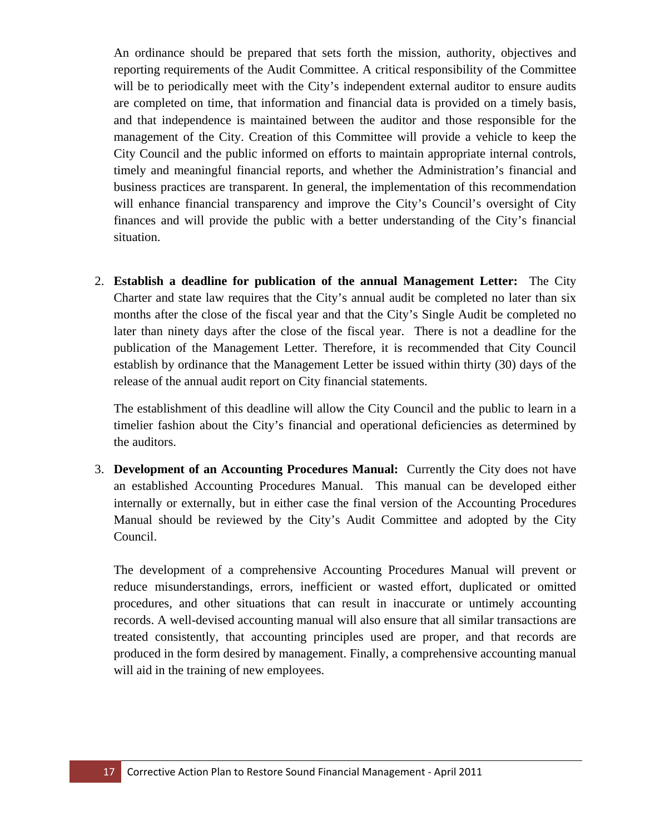An ordinance should be prepared that sets forth the mission, authority, objectives and reporting requirements of the Audit Committee. A critical responsibility of the Committee will be to periodically meet with the City's independent external auditor to ensure audits are completed on time, that information and financial data is provided on a timely basis, and that independence is maintained between the auditor and those responsible for the management of the City. Creation of this Committee will provide a vehicle to keep the City Council and the public informed on efforts to maintain appropriate internal controls, timely and meaningful financial reports, and whether the Administration's financial and business practices are transparent. In general, the implementation of this recommendation will enhance financial transparency and improve the City's Council's oversight of City finances and will provide the public with a better understanding of the City's financial situation.

2. **Establish a deadline for publication of the annual Management Letter:** The City Charter and state law requires that the City's annual audit be completed no later than six months after the close of the fiscal year and that the City's Single Audit be completed no later than ninety days after the close of the fiscal year. There is not a deadline for the publication of the Management Letter. Therefore, it is recommended that City Council establish by ordinance that the Management Letter be issued within thirty (30) days of the release of the annual audit report on City financial statements.

The establishment of this deadline will allow the City Council and the public to learn in a timelier fashion about the City's financial and operational deficiencies as determined by the auditors.

3. **Development of an Accounting Procedures Manual:** Currently the City does not have an established Accounting Procedures Manual. This manual can be developed either internally or externally, but in either case the final version of the Accounting Procedures Manual should be reviewed by the City's Audit Committee and adopted by the City Council.

The development of a comprehensive Accounting Procedures Manual will prevent or reduce misunderstandings, errors, inefficient or wasted effort, duplicated or omitted procedures, and other situations that can result in inaccurate or untimely accounting records. A well-devised accounting manual will also ensure that all similar transactions are treated consistently, that accounting principles used are proper, and that records are produced in the form desired by management. Finally, a comprehensive accounting manual will aid in the training of new employees.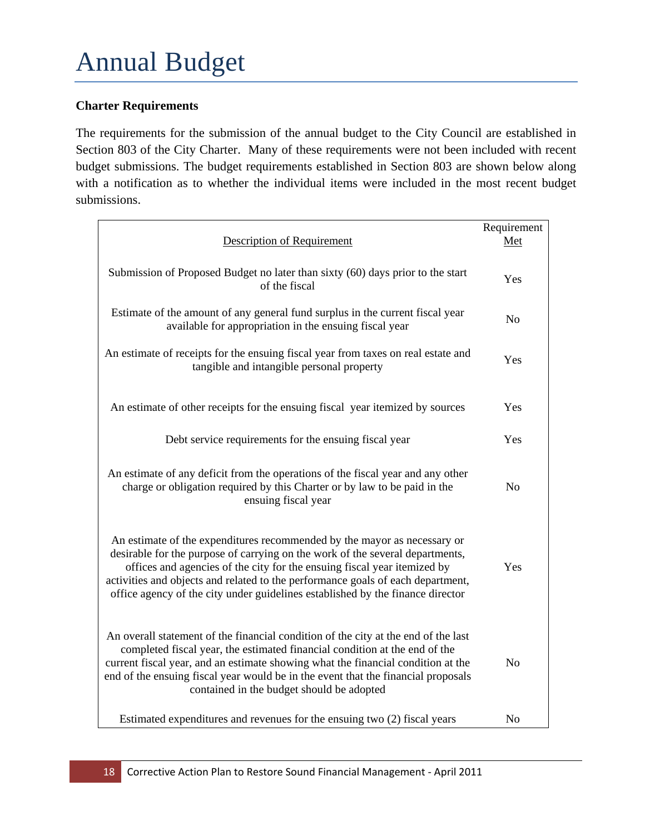## **Charter Requirements**

The requirements for the submission of the annual budget to the City Council are established in Section 803 of the City Charter. Many of these requirements were not been included with recent budget submissions. The budget requirements established in Section 803 are shown below along with a notification as to whether the individual items were included in the most recent budget submissions.

| <b>Description of Requirement</b>                                                                                                                                                                                                                                                                                                                                                                          | Requirement<br>Met |
|------------------------------------------------------------------------------------------------------------------------------------------------------------------------------------------------------------------------------------------------------------------------------------------------------------------------------------------------------------------------------------------------------------|--------------------|
|                                                                                                                                                                                                                                                                                                                                                                                                            |                    |
| Submission of Proposed Budget no later than sixty (60) days prior to the start<br>of the fiscal                                                                                                                                                                                                                                                                                                            | Yes                |
| Estimate of the amount of any general fund surplus in the current fiscal year<br>available for appropriation in the ensuing fiscal year                                                                                                                                                                                                                                                                    | No                 |
| An estimate of receipts for the ensuing fiscal year from taxes on real estate and<br>tangible and intangible personal property                                                                                                                                                                                                                                                                             | Yes                |
| An estimate of other receipts for the ensuing fiscal year itemized by sources                                                                                                                                                                                                                                                                                                                              | Yes                |
| Debt service requirements for the ensuing fiscal year                                                                                                                                                                                                                                                                                                                                                      | Yes                |
| An estimate of any deficit from the operations of the fiscal year and any other<br>charge or obligation required by this Charter or by law to be paid in the<br>ensuing fiscal year                                                                                                                                                                                                                        | No                 |
| An estimate of the expenditures recommended by the mayor as necessary or<br>desirable for the purpose of carrying on the work of the several departments,<br>offices and agencies of the city for the ensuing fiscal year itemized by<br>activities and objects and related to the performance goals of each department,<br>office agency of the city under guidelines established by the finance director | Yes                |
| An overall statement of the financial condition of the city at the end of the last<br>completed fiscal year, the estimated financial condition at the end of the<br>current fiscal year, and an estimate showing what the financial condition at the<br>end of the ensuing fiscal year would be in the event that the financial proposals<br>contained in the budget should be adopted                     | N <sub>o</sub>     |
| Estimated expenditures and revenues for the ensuing two (2) fiscal years                                                                                                                                                                                                                                                                                                                                   | N <sub>o</sub>     |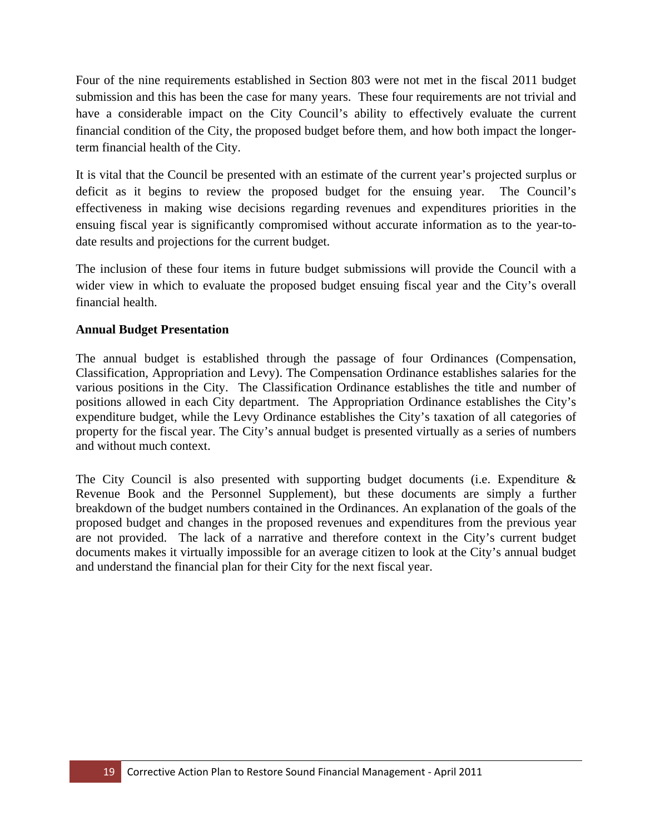Four of the nine requirements established in Section 803 were not met in the fiscal 2011 budget submission and this has been the case for many years. These four requirements are not trivial and have a considerable impact on the City Council's ability to effectively evaluate the current financial condition of the City, the proposed budget before them, and how both impact the longerterm financial health of the City.

It is vital that the Council be presented with an estimate of the current year's projected surplus or deficit as it begins to review the proposed budget for the ensuing year. The Council's effectiveness in making wise decisions regarding revenues and expenditures priorities in the ensuing fiscal year is significantly compromised without accurate information as to the year-todate results and projections for the current budget.

The inclusion of these four items in future budget submissions will provide the Council with a wider view in which to evaluate the proposed budget ensuing fiscal year and the City's overall financial health.

#### **Annual Budget Presentation**

The annual budget is established through the passage of four Ordinances (Compensation, Classification, Appropriation and Levy). The Compensation Ordinance establishes salaries for the various positions in the City. The Classification Ordinance establishes the title and number of positions allowed in each City department. The Appropriation Ordinance establishes the City's expenditure budget, while the Levy Ordinance establishes the City's taxation of all categories of property for the fiscal year. The City's annual budget is presented virtually as a series of numbers and without much context.

The City Council is also presented with supporting budget documents (i.e. Expenditure & Revenue Book and the Personnel Supplement), but these documents are simply a further breakdown of the budget numbers contained in the Ordinances. An explanation of the goals of the proposed budget and changes in the proposed revenues and expenditures from the previous year are not provided. The lack of a narrative and therefore context in the City's current budget documents makes it virtually impossible for an average citizen to look at the City's annual budget and understand the financial plan for their City for the next fiscal year.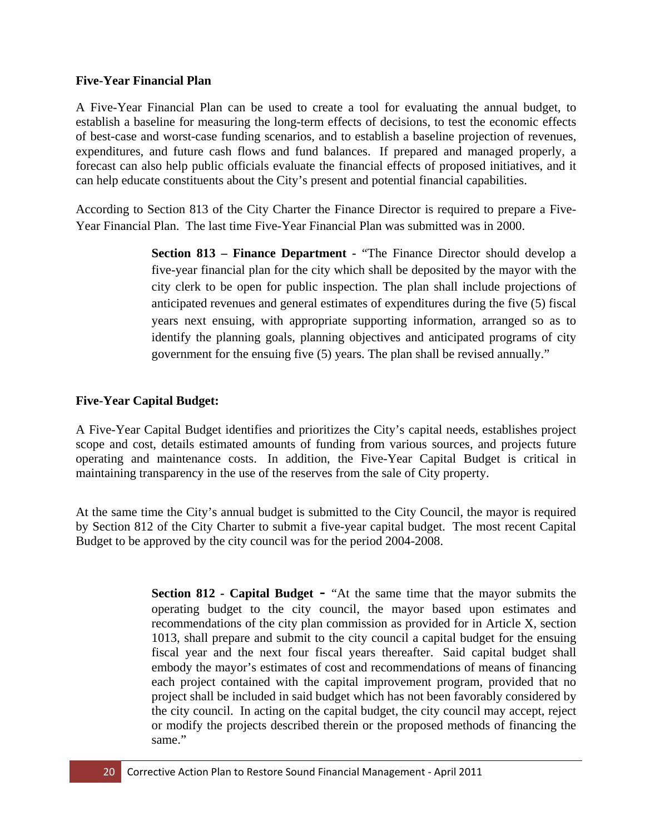#### **Five-Year Financial Plan**

A Five-Year Financial Plan can be used to create a tool for evaluating the annual budget, to establish a baseline for measuring the long-term effects of decisions, to test the economic effects of best-case and worst-case funding scenarios, and to establish a baseline projection of revenues, expenditures, and future cash flows and fund balances. If prepared and managed properly, a forecast can also help public officials evaluate the financial effects of proposed initiatives, and it can help educate constituents about the City's present and potential financial capabilities.

According to Section 813 of the City Charter the Finance Director is required to prepare a Five-Year Financial Plan. The last time Five-Year Financial Plan was submitted was in 2000.

> **Section 813 – Finance Department -** "The Finance Director should develop a five-year financial plan for the city which shall be deposited by the mayor with the city clerk to be open for public inspection. The plan shall include projections of anticipated revenues and general estimates of expenditures during the five (5) fiscal years next ensuing, with appropriate supporting information, arranged so as to identify the planning goals, planning objectives and anticipated programs of city government for the ensuing five (5) years. The plan shall be revised annually."

## **Five-Year Capital Budget:**

A Five-Year Capital Budget identifies and prioritizes the City's capital needs, establishes project scope and cost, details estimated amounts of funding from various sources, and projects future operating and maintenance costs. In addition, the Five-Year Capital Budget is critical in maintaining transparency in the use of the reserves from the sale of City property.

At the same time the City's annual budget is submitted to the City Council, the mayor is required by Section 812 of the City Charter to submit a five-year capital budget. The most recent Capital Budget to be approved by the city council was for the period 2004-2008.

> **Section 812 - Capital Budget -** "At the same time that the mayor submits the operating budget to the city council, the mayor based upon estimates and recommendations of the city plan commission as provided for in Article X, section 1013, shall prepare and submit to the city council a capital budget for the ensuing fiscal year and the next four fiscal years thereafter. Said capital budget shall embody the mayor's estimates of cost and recommendations of means of financing each project contained with the capital improvement program, provided that no project shall be included in said budget which has not been favorably considered by the city council. In acting on the capital budget, the city council may accept, reject or modify the projects described therein or the proposed methods of financing the same."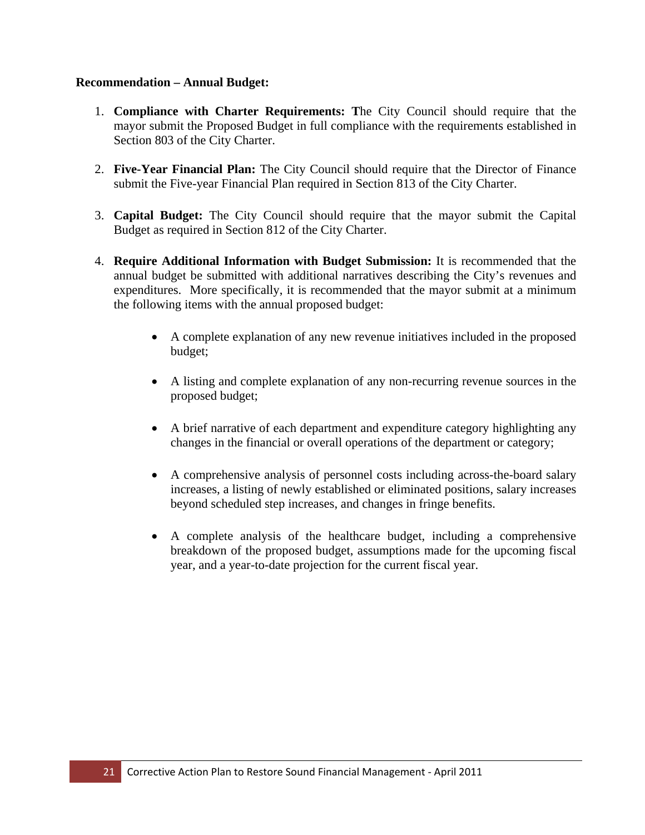#### **Recommendation – Annual Budget:**

- 1. **Compliance with Charter Requirements: T**he City Council should require that the mayor submit the Proposed Budget in full compliance with the requirements established in Section 803 of the City Charter.
- 2. **Five-Year Financial Plan:** The City Council should require that the Director of Finance submit the Five-year Financial Plan required in Section 813 of the City Charter.
- 3. **Capital Budget:** The City Council should require that the mayor submit the Capital Budget as required in Section 812 of the City Charter.
- 4. **Require Additional Information with Budget Submission:** It is recommended that the annual budget be submitted with additional narratives describing the City's revenues and expenditures. More specifically, it is recommended that the mayor submit at a minimum the following items with the annual proposed budget:
	- A complete explanation of any new revenue initiatives included in the proposed budget;
	- A listing and complete explanation of any non-recurring revenue sources in the proposed budget;
	- A brief narrative of each department and expenditure category highlighting any changes in the financial or overall operations of the department or category;
	- A comprehensive analysis of personnel costs including across-the-board salary increases, a listing of newly established or eliminated positions, salary increases beyond scheduled step increases, and changes in fringe benefits.
	- A complete analysis of the healthcare budget, including a comprehensive breakdown of the proposed budget, assumptions made for the upcoming fiscal year, and a year-to-date projection for the current fiscal year.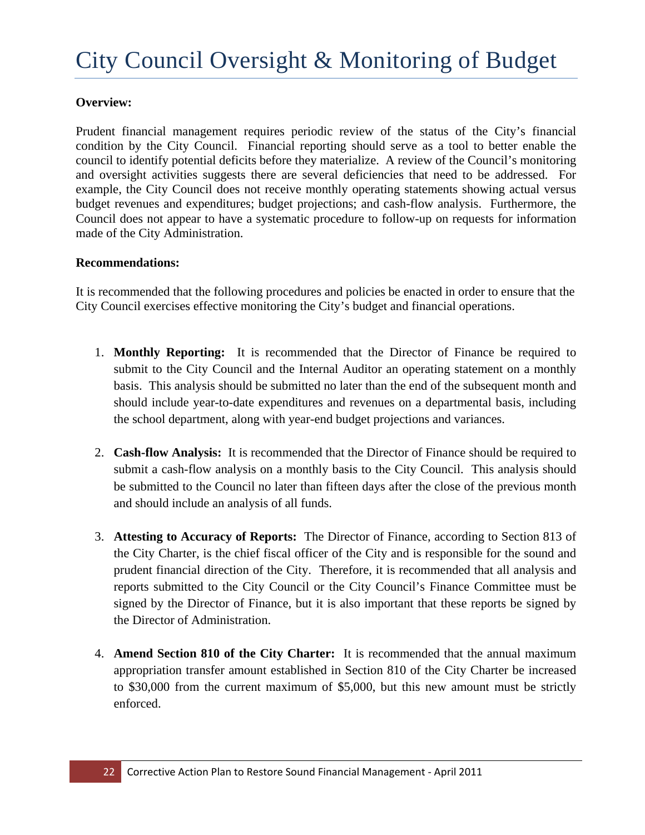## **Overview:**

Prudent financial management requires periodic review of the status of the City's financial condition by the City Council. Financial reporting should serve as a tool to better enable the council to identify potential deficits before they materialize. A review of the Council's monitoring and oversight activities suggests there are several deficiencies that need to be addressed. For example, the City Council does not receive monthly operating statements showing actual versus budget revenues and expenditures; budget projections; and cash-flow analysis. Furthermore, the Council does not appear to have a systematic procedure to follow-up on requests for information made of the City Administration.

#### **Recommendations:**

It is recommended that the following procedures and policies be enacted in order to ensure that the City Council exercises effective monitoring the City's budget and financial operations.

- 1. **Monthly Reporting:** It is recommended that the Director of Finance be required to submit to the City Council and the Internal Auditor an operating statement on a monthly basis. This analysis should be submitted no later than the end of the subsequent month and should include year-to-date expenditures and revenues on a departmental basis, including the school department, along with year-end budget projections and variances.
- 2. **Cash-flow Analysis:** It is recommended that the Director of Finance should be required to submit a cash-flow analysis on a monthly basis to the City Council. This analysis should be submitted to the Council no later than fifteen days after the close of the previous month and should include an analysis of all funds.
- 3. **Attesting to Accuracy of Reports:** The Director of Finance, according to Section 813 of the City Charter, is the chief fiscal officer of the City and is responsible for the sound and prudent financial direction of the City. Therefore, it is recommended that all analysis and reports submitted to the City Council or the City Council's Finance Committee must be signed by the Director of Finance, but it is also important that these reports be signed by the Director of Administration.
- 4. **Amend Section 810 of the City Charter:** It is recommended that the annual maximum appropriation transfer amount established in Section 810 of the City Charter be increased to \$30,000 from the current maximum of \$5,000, but this new amount must be strictly enforced.